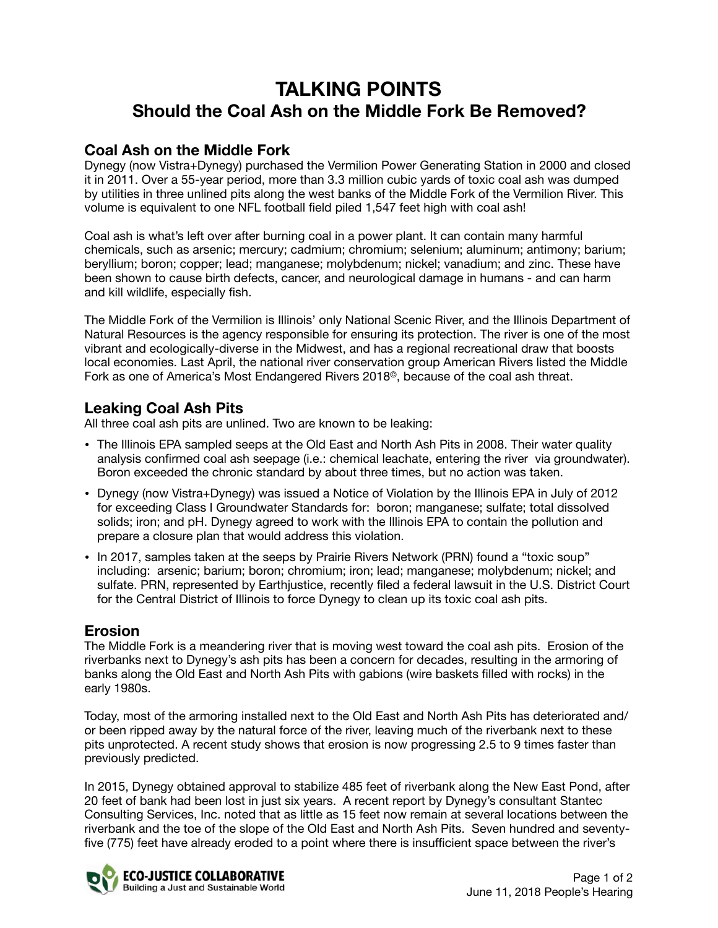# **TALKING POINTS Should the Coal Ash on the Middle Fork Be Removed?**

### **Coal Ash on the Middle Fork**

Dynegy (now Vistra+Dynegy) purchased the Vermilion Power Generating Station in 2000 and closed it in 2011. Over a 55-year period, more than 3.3 million cubic yards of toxic coal ash was dumped by utilities in three unlined pits along the west banks of the Middle Fork of the Vermilion River. This volume is equivalent to one NFL football field piled 1,547 feet high with coal ash!

Coal ash is what's left over after burning coal in a power plant. It can contain many harmful chemicals, such as arsenic; mercury; cadmium; chromium; selenium; aluminum; antimony; barium; beryllium; boron; copper; lead; manganese; molybdenum; nickel; vanadium; and zinc. These have been shown to cause birth defects, cancer, and neurological damage in humans - and can harm and kill wildlife, especially fish.

The Middle Fork of the Vermilion is Illinois' only National Scenic River, and the Illinois Department of Natural Resources is the agency responsible for ensuring its protection. The river is one of the most vibrant and ecologically-diverse in the Midwest, and has a regional recreational draw that boosts local economies. Last April, the national river conservation group American Rivers listed the Middle Fork as one of America's Most Endangered Rivers 2018©, because of the coal ash threat.

## **Leaking Coal Ash Pits**

All three coal ash pits are unlined. Two are known to be leaking:

- The Illinois EPA sampled seeps at the Old East and North Ash Pits in 2008. Their water quality analysis confirmed coal ash seepage (i.e.: chemical leachate, entering the river via groundwater). Boron exceeded the chronic standard by about three times, but no action was taken.
- Dynegy (now Vistra+Dynegy) was issued a Notice of Violation by the Illinois EPA in July of 2012 for exceeding Class I Groundwater Standards for: boron; manganese; sulfate; total dissolved solids; iron; and pH. Dynegy agreed to work with the Illinois EPA to contain the pollution and prepare a closure plan that would address this violation.
- In 2017, samples taken at the seeps by Prairie Rivers Network (PRN) found a "toxic soup" including: arsenic; barium; boron; chromium; iron; lead; manganese; molybdenum; nickel; and sulfate. PRN, represented by Earthjustice, recently filed a federal lawsuit in the U.S. District Court for the Central District of Illinois to force Dynegy to clean up its toxic coal ash pits.

#### **Erosion**

The Middle Fork is a meandering river that is moving west toward the coal ash pits. Erosion of the riverbanks next to Dynegy's ash pits has been a concern for decades, resulting in the armoring of banks along the Old East and North Ash Pits with gabions (wire baskets filled with rocks) in the early 1980s.

Today, most of the armoring installed next to the Old East and North Ash Pits has deteriorated and/ or been ripped away by the natural force of the river, leaving much of the riverbank next to these pits unprotected. A recent study shows that erosion is now progressing 2.5 to 9 times faster than previously predicted.

In 2015, Dynegy obtained approval to stabilize 485 feet of riverbank along the New East Pond, after 20 feet of bank had been lost in just six years. A recent report by Dynegy's consultant Stantec Consulting Services, Inc. noted that as little as 15 feet now remain at several locations between the riverbank and the toe of the slope of the Old East and North Ash Pits. Seven hundred and seventyfive (775) feet have already eroded to a point where there is insufficient space between the river's